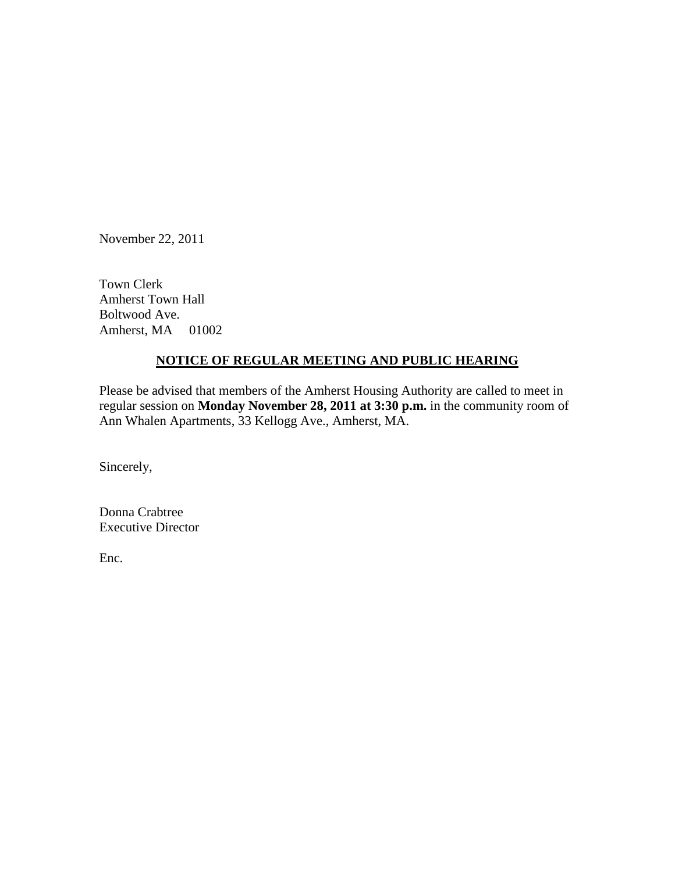November 22, 2011

Town Clerk Amherst Town Hall Boltwood Ave. Amherst, MA 01002

## **NOTICE OF REGULAR MEETING AND PUBLIC HEARING**

Please be advised that members of the Amherst Housing Authority are called to meet in regular session on **Monday November 28, 2011 at 3:30 p.m.** in the community room of Ann Whalen Apartments, 33 Kellogg Ave., Amherst, MA.

Sincerely,

Donna Crabtree Executive Director

Enc.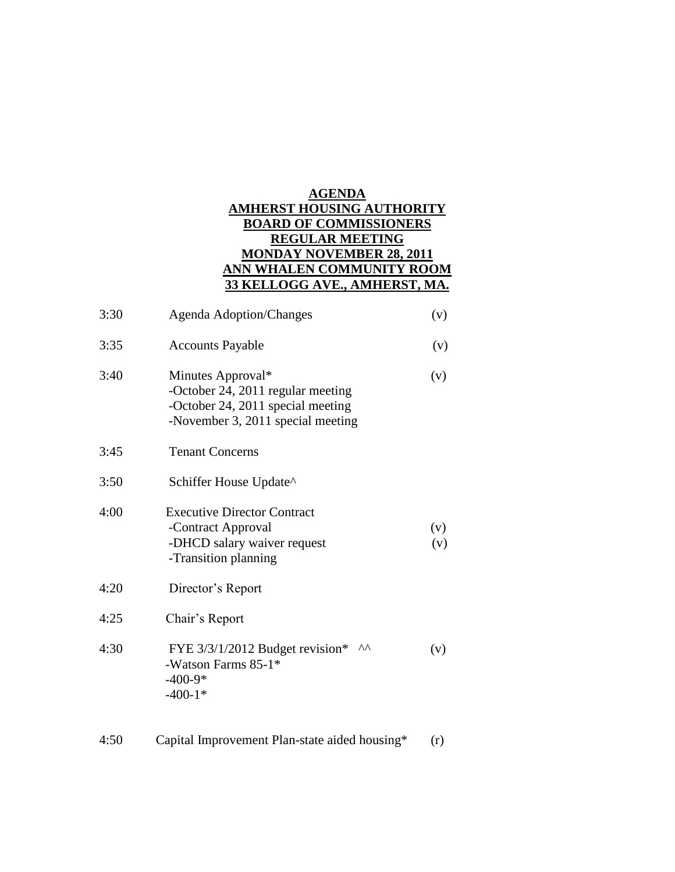## **AGENDA AMHERST HOUSING AUTHORITY BOARD OF COMMISSIONERS REGULAR MEETING MONDAY NOVEMBER 28, 2011 ANN WHALEN COMMUNITY ROOM 33 KELLOGG AVE., AMHERST, MA.**

| 3:30 | <b>Agenda Adoption/Changes</b>                                                                                                   | (v)        |
|------|----------------------------------------------------------------------------------------------------------------------------------|------------|
| 3:35 | <b>Accounts Payable</b>                                                                                                          | (v)        |
| 3:40 | Minutes Approval*<br>-October 24, 2011 regular meeting<br>-October 24, 2011 special meeting<br>-November 3, 2011 special meeting | (v)        |
| 3:45 | <b>Tenant Concerns</b>                                                                                                           |            |
| 3:50 | Schiffer House Update^                                                                                                           |            |
| 4:00 | <b>Executive Director Contract</b><br>-Contract Approval<br>-DHCD salary waiver request<br>-Transition planning                  | (v)<br>(v) |
| 4:20 | Director's Report                                                                                                                |            |
| 4:25 | Chair's Report                                                                                                                   |            |
| 4:30 | ۸۸<br>FYE $3/3/1/2012$ Budget revision*<br>-Watson Farms 85-1*<br>$-400-9*$<br>$-400-1*$                                         | (v)        |
| 4:50 | Capital Improvement Plan-state aided housing*                                                                                    | (r)        |